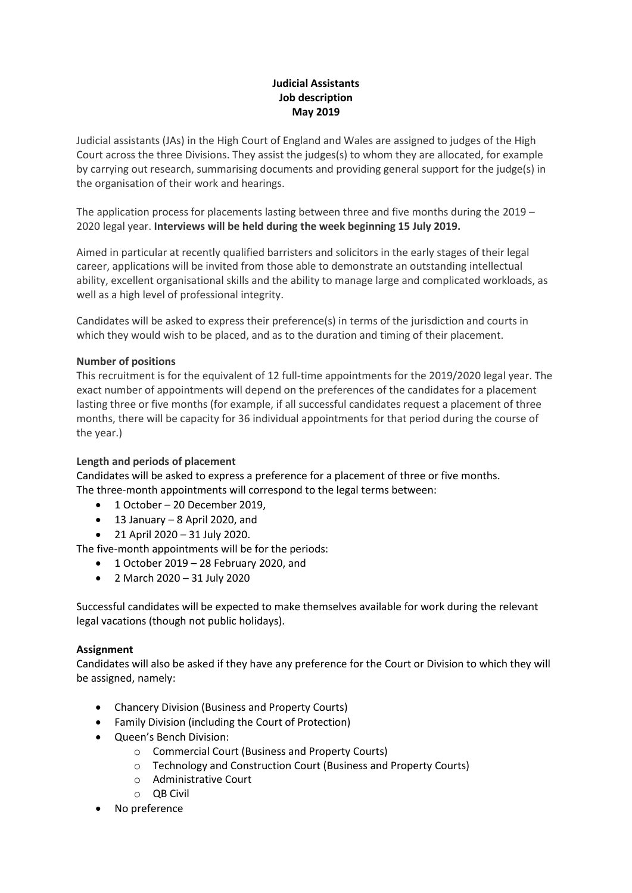# **Judicial Assistants Job description May 2019**

Judicial assistants (JAs) in the High Court of England and Wales are assigned to judges of the High Court across the three Divisions. They assist the judges(s) to whom they are allocated, for example by carrying out research, summarising documents and providing general support for the judge(s) in the organisation of their work and hearings.

The application process for placements lasting between three and five months during the 2019 – 2020 legal year. **Interviews will be held during the week beginning 15 July 2019.**

Aimed in particular at recently qualified barristers and solicitors in the early stages of their legal career, applications will be invited from those able to demonstrate an outstanding intellectual ability, excellent organisational skills and the ability to manage large and complicated workloads, as well as a high level of professional integrity.

Candidates will be asked to express their preference(s) in terms of the jurisdiction and courts in which they would wish to be placed, and as to the duration and timing of their placement.

### **Number of positions**

This recruitment is for the equivalent of 12 full-time appointments for the 2019/2020 legal year. The exact number of appointments will depend on the preferences of the candidates for a placement lasting three or five months (for example, if all successful candidates request a placement of three months, there will be capacity for 36 individual appointments for that period during the course of the year.)

## **Length and periods of placement**

Candidates will be asked to express a preference for a placement of three or five months. The three-month appointments will correspond to the legal terms between:

- 1 October 20 December 2019,
- $\bullet$  13 January 8 April 2020, and
- 21 April 2020 31 July 2020.

The five-month appointments will be for the periods:

- 1 October 2019 28 February 2020, and
- 2 March 2020 31 July 2020

Successful candidates will be expected to make themselves available for work during the relevant legal vacations (though not public holidays).

#### **Assignment**

Candidates will also be asked if they have any preference for the Court or Division to which they will be assigned, namely:

- Chancery Division (Business and Property Courts)
- Family Division (including the Court of Protection)
- Queen's Bench Division:
	- o Commercial Court (Business and Property Courts)
	- o Technology and Construction Court (Business and Property Courts)
	- o Administrative Court
	- o QB Civil
- No preference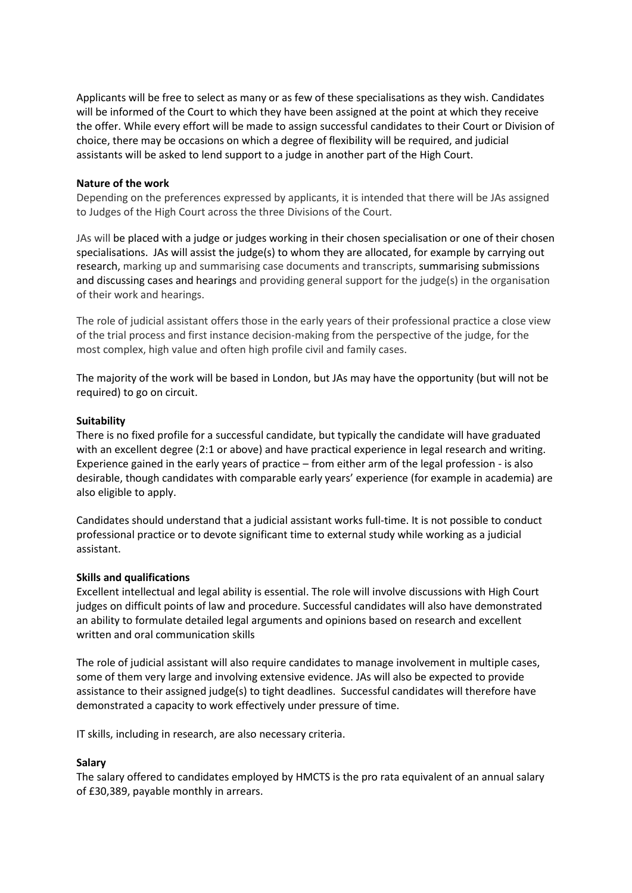Applicants will be free to select as many or as few of these specialisations as they wish. Candidates will be informed of the Court to which they have been assigned at the point at which they receive the offer. While every effort will be made to assign successful candidates to their Court or Division of choice, there may be occasions on which a degree of flexibility will be required, and judicial assistants will be asked to lend support to a judge in another part of the High Court.

#### **Nature of the work**

Depending on the preferences expressed by applicants, it is intended that there will be JAs assigned to Judges of the High Court across the three Divisions of the Court.

JAs will be placed with a judge or judges working in their chosen specialisation or one of their chosen specialisations. JAs will assist the judge(s) to whom they are allocated, for example by carrying out research, marking up and summarising case documents and transcripts, summarising submissions and discussing cases and hearings and providing general support for the judge(s) in the organisation of their work and hearings.

The role of judicial assistant offers those in the early years of their professional practice a close view of the trial process and first instance decision-making from the perspective of the judge, for the most complex, high value and often high profile civil and family cases.

The majority of the work will be based in London, but JAs may have the opportunity (but will not be required) to go on circuit.

#### **Suitability**

There is no fixed profile for a successful candidate, but typically the candidate will have graduated with an excellent degree (2:1 or above) and have practical experience in legal research and writing. Experience gained in the early years of practice – from either arm of the legal profession - is also desirable, though candidates with comparable early years' experience (for example in academia) are also eligible to apply.

Candidates should understand that a judicial assistant works full-time. It is not possible to conduct professional practice or to devote significant time to external study while working as a judicial assistant.

#### **Skills and qualifications**

Excellent intellectual and legal ability is essential. The role will involve discussions with High Court judges on difficult points of law and procedure. Successful candidates will also have demonstrated an ability to formulate detailed legal arguments and opinions based on research and excellent written and oral communication skills

The role of judicial assistant will also require candidates to manage involvement in multiple cases, some of them very large and involving extensive evidence. JAs will also be expected to provide assistance to their assigned judge(s) to tight deadlines. Successful candidates will therefore have demonstrated a capacity to work effectively under pressure of time.

IT skills, including in research, are also necessary criteria.

## **Salary**

The salary offered to candidates employed by HMCTS is the pro rata equivalent of an annual salary of £30,389, payable monthly in arrears.